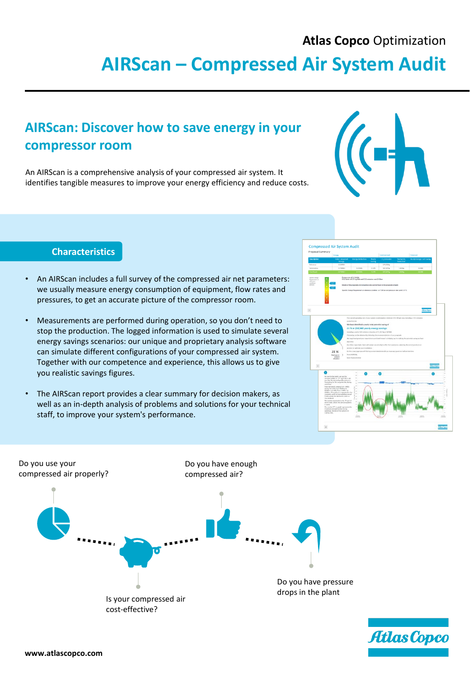### **Atlas Copco** Optimization

# **AIRScan – Compressed Air System Audit**

# **AIRScan: Discover how to save energy in your compressor room**

An AIRScan is a comprehensive analysis of your compressed air system. It identifies tangible measures to improve your energy efficiency and reduce costs.



#### **Characteristics**

- An AIRScan includes a full survey of the compressed air net parameters: we usually measure energy consumption of equipment, flow rates and pressures, to get an accurate picture of the compressor room.
- Measurements are performed during operation, so you don't need to stop the production. The logged information is used to simulate several energy savings scenarios: our unique and proprietary analysis software can simulate different configurations of your compressed air system. Together with our competence and experience, this allows us to give you realistic savings figures.
- The AIRScan report provides a clear summary for decision makers, as well as an in-depth analysis of problems and solutions for your technical staff, to improve your system's performance.